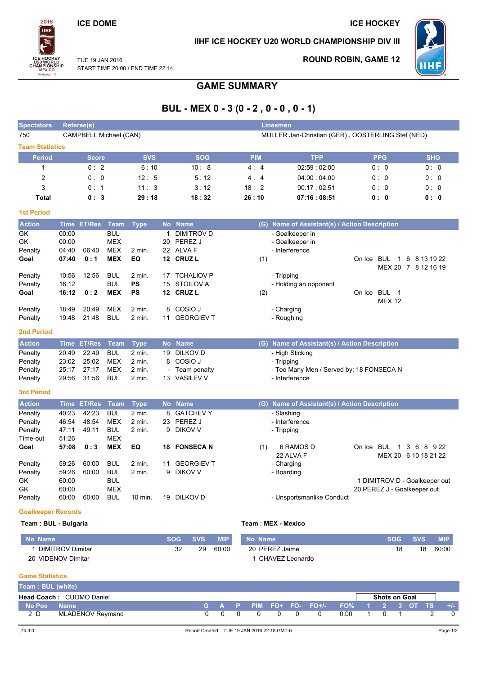### **ICE DOME**

2016

**TIHF** 

**MEXICO**<br>Division I

### IIHF ICE HOCKEY U20 WORLD CHAMPIONSHIP DIV III



TUE 19 JAN 2016 START TIME 20:00 / END TIME 22:14

# **ROUND ROBIN, GAME 12**

**ICE HOCKEY** 

# **GAME SUMMARY**

# BUL - MEX 0 - 3 (0 - 2, 0 - 0, 0 - 1)

| <b>Spectators</b>      |                | Referee(s)         |                          |                     |    |                                   |            | <b>Linesmen</b>                                   |                               |                                      |
|------------------------|----------------|--------------------|--------------------------|---------------------|----|-----------------------------------|------------|---------------------------------------------------|-------------------------------|--------------------------------------|
| 750                    |                |                    | CAMPBELL Michael (CAN)   |                     |    |                                   |            | MULLER Jan-Christian (GER), OOSTERLING Stef (NED) |                               |                                      |
| <b>Team Statistics</b> |                |                    |                          |                     |    |                                   |            |                                                   |                               |                                      |
| <b>Period</b>          |                | <b>Score</b>       |                          | <b>SVS</b>          |    | <b>SOG</b>                        | <b>PIM</b> | <b>TPP</b>                                        | <b>PPG</b>                    | <b>SHG</b>                           |
| $\mathbf{1}$           |                | 0:2                |                          | 6:10                |    | 10:8                              | 4:4        | 02:59:02:00                                       | 0:0                           | 0:0                                  |
| $\overline{c}$         |                | 0:0                |                          | 12:5                |    | 5:12                              | 4:4        | 04:00:04:00                                       | 0:0                           | 0:0                                  |
| 3                      |                | 0:1                |                          | 11:3                |    | 3:12                              | 18:2       | 00:17:02:51                                       | 0: 0                          | 0:0                                  |
| <b>Total</b>           |                | 0:3                |                          | 29:18               |    | 18:32                             | 26:10      | 07:16:08:51                                       | 0: 0                          | 0: 0                                 |
| <b>1st Period</b>      |                |                    |                          |                     |    |                                   |            |                                                   |                               |                                      |
| <b>Action</b>          |                | Time ET/Res        | Team                     | <b>Type</b>         |    | No Name                           |            | (G) Name of Assistant(s) / Action Description     |                               |                                      |
| GK                     | 00:00          |                    | <b>BUL</b>               |                     | 1  | <b>DIMITROV D</b>                 |            | - Goalkeeper in                                   |                               |                                      |
| GK                     | 00:00          |                    | <b>MEX</b>               |                     |    | 20 PEREZ J                        |            | - Goalkeeper in                                   |                               |                                      |
| Penalty                | 04:40          | 06:40              | <b>MEX</b>               | 2 min.              |    | 22 ALVA F                         |            | - Interference                                    |                               |                                      |
| Goal                   | 07:40          | 0:1                | <b>MEX</b>               | EQ                  |    | 12 CRUZ L                         | (1)        |                                                   | On Ice BUL<br>$\overline{1}$  | 6 8 13 19 22                         |
|                        |                |                    |                          |                     |    |                                   |            |                                                   |                               | MEX 20 7 8 12 16 19                  |
| Penalty<br>Penalty     | 10:56<br>16:12 | 12:56              | <b>BUL</b><br><b>BUL</b> | 2 min.<br><b>PS</b> | 17 | <b>TCHALIOV P</b><br>15 STOILOV A |            | - Tripping<br>- Holding an opponent               |                               |                                      |
| Goal                   | 16:12          | 0:2                | <b>MEX</b>               | <b>PS</b>           |    | 12 CRUZ L                         | (2)        |                                                   | On Ice BUL 1                  |                                      |
|                        |                |                    |                          |                     |    |                                   |            |                                                   | <b>MEX 12</b>                 |                                      |
| Penalty                | 18:49          | 20:49              | <b>MEX</b>               | 2 min.              | 8  | COSIO J                           |            | - Charging                                        |                               |                                      |
| Penalty                | 19:48          | 21:48              | <b>BUL</b>               | 2 min.              | 11 | <b>GEORGIEV T</b>                 |            | - Roughing                                        |                               |                                      |
| <b>2nd Period</b>      |                |                    |                          |                     |    |                                   |            |                                                   |                               |                                      |
| <b>Action</b>          |                | Time ET/Res        | <b>Team</b>              | <b>Type</b>         |    | No Name                           |            | (G) Name of Assistant(s) / Action Description     |                               |                                      |
| Penalty                | 20:49          | 22:49              | <b>BUL</b>               | $2$ min.            | 19 | <b>DILKOV D</b>                   |            | - High Sticking                                   |                               |                                      |
| Penalty                | 23:02          | 25:02              | <b>MEX</b>               | 2 min.              |    | 8 COSIO J                         |            | - Tripping                                        |                               |                                      |
| Penalty                | 25:17          | 27:17              | <b>MEX</b>               | 2 min.              |    | Team penalty                      |            | - Too Many Men / Served by: 18 FONSECA N          |                               |                                      |
| Penalty                | 29:56          | 31:56              | <b>BUL</b>               | 2 min.              |    | 13 VASILEV V                      |            | - Interference                                    |                               |                                      |
| <b>3rd Period</b>      |                |                    |                          |                     |    |                                   |            |                                                   |                               |                                      |
| <b>Action</b>          |                | <b>Time ET/Res</b> | <b>Team</b>              | <b>Type</b>         |    | No Name                           |            | (G) Name of Assistant(s) / Action Description     |                               |                                      |
| Penalty                | 40:23          | 42:23              | <b>BUL</b>               | 2 min.              |    | 8 GATCHEVY                        |            | - Slashing                                        |                               |                                      |
| Penalty                | 46:54          | 48:54              | <b>MEX</b>               | 2 min.              | 23 | PEREZ J                           |            | - Interference                                    |                               |                                      |
| Penalty                | 47:11          | 49:11              | <b>BUL</b>               | 2 min.              |    | 9 DIKOV V                         |            | - Tripping                                        |                               |                                      |
| Time-out               | 51:26          |                    | <b>MEX</b>               |                     |    |                                   |            |                                                   |                               |                                      |
| Goal                   | 57:08          | 0:3                | <b>MEX</b>               | EQ                  |    | 18 FONSECA N                      | (1)        | 6 RAMOS D<br>22 ALVA F                            | On Ice BUL                    | 1 3 6 8 9 22<br>MEX 20 6 10 18 21 22 |
| Penalty                | 59:26          | 60:00              | <b>BUL</b>               | 2 min.              | 11 | <b>GEORGIEV T</b>                 |            | - Charging                                        |                               |                                      |
| Penalty                | 59:26          | 60:00              | <b>BUL</b>               | 2 min.              |    | 9 DIKOV V                         |            | - Boarding                                        |                               |                                      |
| GK                     | 60:00          |                    | <b>BUL</b>               |                     |    |                                   |            |                                                   | 1 DIMITROV D - Goalkeeper out |                                      |
| GK                     | 60:00          |                    | <b>MEX</b>               |                     |    |                                   |            |                                                   | 20 PEREZ J - Goalkeeper out   |                                      |
| Penalty                | 60:00          | 60:00              | <b>BUL</b>               | 10 min.             |    | 19 DILKOV D                       |            | - Unsportsmanlike Conduct                         |                               |                                      |
|                        |                |                    |                          |                     |    |                                   |            |                                                   |                               |                                      |

### **Goalkeeper Records** Team: BUL - Bulgaria

#### Team: MEX - Mexico

| No Name                      | SOG | <b>SVS</b> | <b>MIP</b> | No Name'        | <b>SVS</b> | <b>MIP</b> |
|------------------------------|-----|------------|------------|-----------------|------------|------------|
| DIMITROV Dimitar             | ےر  | 29         | 60:00      | 20 PEREZ Jaime  | 18         | 60:00      |
| <b>VIDENOV Dimitar</b><br>20 |     |            |            | CHAVEZ Leonardo |            |            |

### **Game Statistics**

| Team: BUL (white) |                                 |  |   |          |                                                      |      |                      |  |       |
|-------------------|---------------------------------|--|---|----------|------------------------------------------------------|------|----------------------|--|-------|
|                   | <b>Head Coach: CUOMO Daniel</b> |  |   |          |                                                      |      | <b>Shots on Goal</b> |  |       |
| No Pos            | <b>Name</b>                     |  |   |          | <u>  G A P PIM FO+ FO- FO+/- FO% 1 _2 _3 OT TS '</u> |      |                      |  | $+/-$ |
| 2 D               | <b>MLADENOV Reymand</b>         |  | റ | $\Omega$ | ົດ                                                   | 0.00 |                      |  |       |